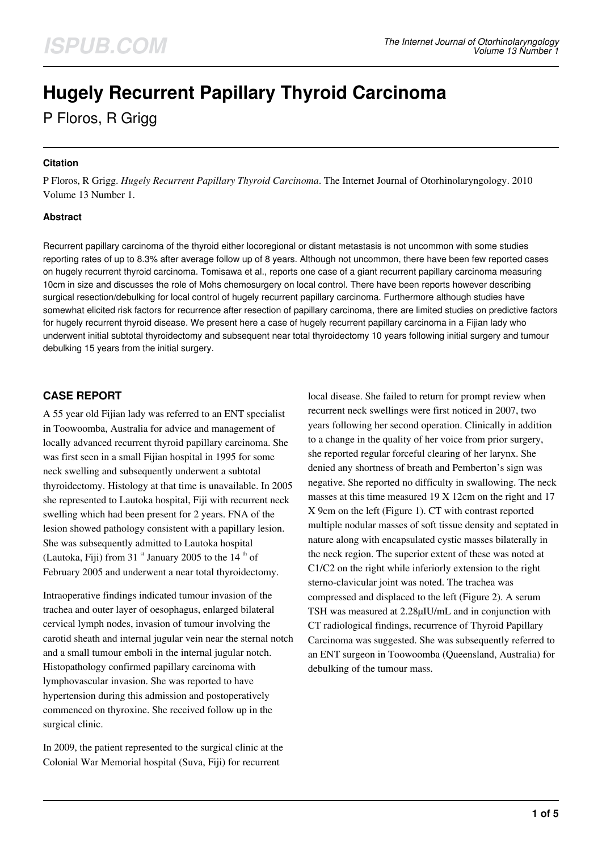# **Hugely Recurrent Papillary Thyroid Carcinoma**

P Floros, R Grigg

#### **Citation**

P Floros, R Grigg. *Hugely Recurrent Papillary Thyroid Carcinoma*. The Internet Journal of Otorhinolaryngology. 2010 Volume 13 Number 1.

#### **Abstract**

Recurrent papillary carcinoma of the thyroid either locoregional or distant metastasis is not uncommon with some studies reporting rates of up to 8.3% after average follow up of 8 years. Although not uncommon, there have been few reported cases on hugely recurrent thyroid carcinoma. Tomisawa et al., reports one case of a giant recurrent papillary carcinoma measuring 10cm in size and discusses the role of Mohs chemosurgery on local control. There have been reports however describing surgical resection/debulking for local control of hugely recurrent papillary carcinoma. Furthermore although studies have somewhat elicited risk factors for recurrence after resection of papillary carcinoma, there are limited studies on predictive factors for hugely recurrent thyroid disease. We present here a case of hugely recurrent papillary carcinoma in a Fijian lady who underwent initial subtotal thyroidectomy and subsequent near total thyroidectomy 10 years following initial surgery and tumour debulking 15 years from the initial surgery.

# **CASE REPORT**

A 55 year old Fijian lady was referred to an ENT specialist in Toowoomba, Australia for advice and management of locally advanced recurrent thyroid papillary carcinoma. She was first seen in a small Fijian hospital in 1995 for some neck swelling and subsequently underwent a subtotal thyroidectomy. Histology at that time is unavailable. In 2005 she represented to Lautoka hospital, Fiji with recurrent neck swelling which had been present for 2 years. FNA of the lesion showed pathology consistent with a papillary lesion. She was subsequently admitted to Lautoka hospital (Lautoka, Fiji) from 31  $\mathrm{st}$  January 2005 to the 14  $\mathrm{th}$  of February 2005 and underwent a near total thyroidectomy.

Intraoperative findings indicated tumour invasion of the trachea and outer layer of oesophagus, enlarged bilateral cervical lymph nodes, invasion of tumour involving the carotid sheath and internal jugular vein near the sternal notch and a small tumour emboli in the internal jugular notch. Histopathology confirmed papillary carcinoma with lymphovascular invasion. She was reported to have hypertension during this admission and postoperatively commenced on thyroxine. She received follow up in the surgical clinic.

In 2009, the patient represented to the surgical clinic at the Colonial War Memorial hospital (Suva, Fiji) for recurrent

local disease. She failed to return for prompt review when recurrent neck swellings were first noticed in 2007, two years following her second operation. Clinically in addition to a change in the quality of her voice from prior surgery, she reported regular forceful clearing of her larynx. She denied any shortness of breath and Pemberton's sign was negative. She reported no difficulty in swallowing. The neck masses at this time measured 19 X 12cm on the right and 17 X 9cm on the left (Figure 1). CT with contrast reported multiple nodular masses of soft tissue density and septated in nature along with encapsulated cystic masses bilaterally in the neck region. The superior extent of these was noted at C1/C2 on the right while inferiorly extension to the right sterno-clavicular joint was noted. The trachea was compressed and displaced to the left (Figure 2). A serum TSH was measured at 2.28µIU/mL and in conjunction with CT radiological findings, recurrence of Thyroid Papillary Carcinoma was suggested. She was subsequently referred to an ENT surgeon in Toowoomba (Queensland, Australia) for debulking of the tumour mass.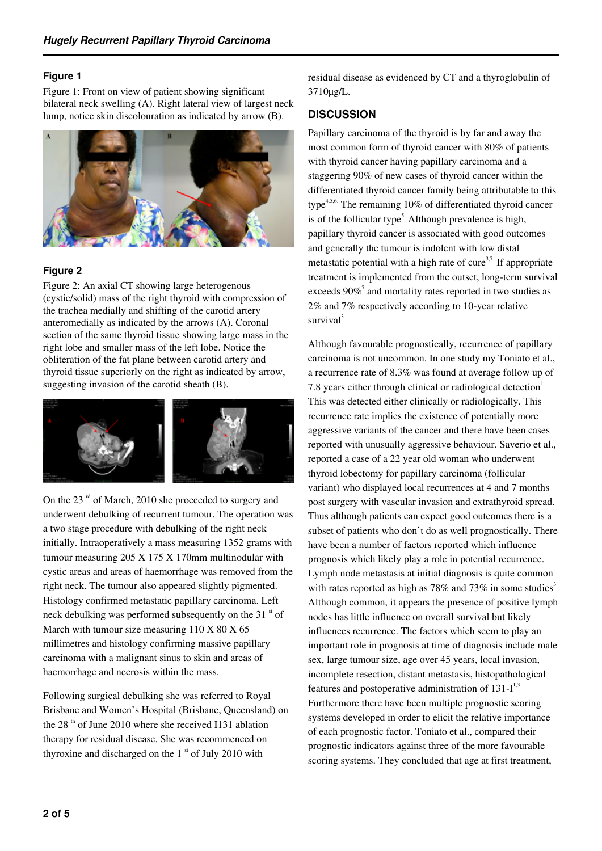#### **Figure 1**

Figure 1: Front on view of patient showing significant bilateral neck swelling (A). Right lateral view of largest neck lump, notice skin discolouration as indicated by arrow (B).



#### **Figure 2**

Figure 2: An axial CT showing large heterogenous (cystic/solid) mass of the right thyroid with compression of the trachea medially and shifting of the carotid artery anteromedially as indicated by the arrows (A). Coronal section of the same thyroid tissue showing large mass in the right lobe and smaller mass of the left lobe. Notice the obliteration of the fat plane between carotid artery and thyroid tissue superiorly on the right as indicated by arrow, suggesting invasion of the carotid sheath (B).



On the 23 $^{\text{rd}}$  of March, 2010 she proceeded to surgery and underwent debulking of recurrent tumour. The operation was a two stage procedure with debulking of the right neck initially. Intraoperatively a mass measuring 1352 grams with tumour measuring 205 X 175 X 170mm multinodular with cystic areas and areas of haemorrhage was removed from the right neck. The tumour also appeared slightly pigmented. Histology confirmed metastatic papillary carcinoma. Left neck debulking was performed subsequently on the 31 $\mathrm{^{st}}$  of March with tumour size measuring 110 X 80 X 65 millimetres and histology confirming massive papillary carcinoma with a malignant sinus to skin and areas of haemorrhage and necrosis within the mass.

Following surgical debulking she was referred to Royal Brisbane and Women's Hospital (Brisbane, Queensland) on the 28<sup>th</sup> of June 2010 where she received I131 ablation therapy for residual disease. She was recommenced on thyroxine and discharged on the  $1<sup>st</sup>$  of July 2010 with

residual disease as evidenced by CT and a thyroglobulin of 3710µg/L.

## **DISCUSSION**

Papillary carcinoma of the thyroid is by far and away the most common form of thyroid cancer with 80% of patients with thyroid cancer having papillary carcinoma and a staggering 90% of new cases of thyroid cancer within the differentiated thyroid cancer family being attributable to this type $4.5,6$ . The remaining 10% of differentiated thyroid cancer is of the follicular type<sup>5.</sup> Although prevalence is high, papillary thyroid cancer is associated with good outcomes and generally the tumour is indolent with low distal metastatic potential with a high rate of cure<sup>3,7.</sup> If appropriate treatment is implemented from the outset, long-term survival exceeds  $90\%$ <sup>7</sup> and mortality rates reported in two studies as 2% and 7% respectively according to 10-year relative  $survival<sup>3</sup>$ 

Although favourable prognostically, recurrence of papillary carcinoma is not uncommon. In one study my Toniato et al., a recurrence rate of 8.3% was found at average follow up of 7.8 years either through clinical or radiological detection $<sup>1</sup>$ .</sup> This was detected either clinically or radiologically. This recurrence rate implies the existence of potentially more aggressive variants of the cancer and there have been cases reported with unusually aggressive behaviour. Saverio et al., reported a case of a 22 year old woman who underwent thyroid lobectomy for papillary carcinoma (follicular variant) who displayed local recurrences at 4 and 7 months post surgery with vascular invasion and extrathyroid spread. Thus although patients can expect good outcomes there is a subset of patients who don't do as well prognostically. There have been a number of factors reported which influence prognosis which likely play a role in potential recurrence. Lymph node metastasis at initial diagnosis is quite common with rates reported as high as 78% and 73% in some studies<sup>3.</sup> Although common, it appears the presence of positive lymph nodes has little influence on overall survival but likely influences recurrence. The factors which seem to play an important role in prognosis at time of diagnosis include male sex, large tumour size, age over 45 years, local invasion, incomplete resection, distant metastasis, histopathological features and postoperative administration of  $131-I^{1,3.}$ Furthermore there have been multiple prognostic scoring systems developed in order to elicit the relative importance of each prognostic factor. Toniato et al., compared their prognostic indicators against three of the more favourable scoring systems. They concluded that age at first treatment,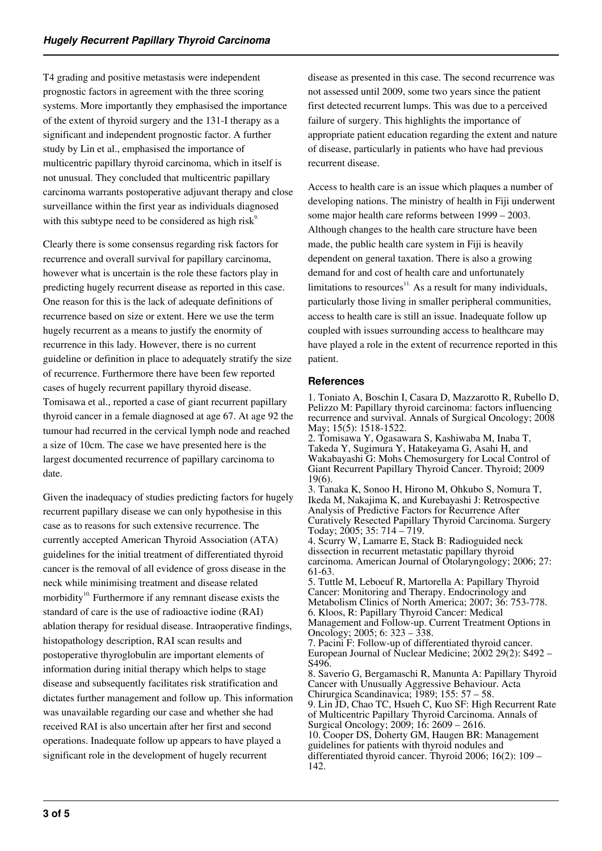T4 grading and positive metastasis were independent prognostic factors in agreement with the three scoring systems. More importantly they emphasised the importance of the extent of thyroid surgery and the 131-I therapy as a significant and independent prognostic factor. A further study by Lin et al., emphasised the importance of multicentric papillary thyroid carcinoma, which in itself is not unusual. They concluded that multicentric papillary carcinoma warrants postoperative adjuvant therapy and close surveillance within the first year as individuals diagnosed with this subtype need to be considered as high risk $9<sup>o</sup>$ .

Clearly there is some consensus regarding risk factors for recurrence and overall survival for papillary carcinoma, however what is uncertain is the role these factors play in predicting hugely recurrent disease as reported in this case. One reason for this is the lack of adequate definitions of recurrence based on size or extent. Here we use the term hugely recurrent as a means to justify the enormity of recurrence in this lady. However, there is no current guideline or definition in place to adequately stratify the size of recurrence. Furthermore there have been few reported cases of hugely recurrent papillary thyroid disease. Tomisawa et al., reported a case of giant recurrent papillary thyroid cancer in a female diagnosed at age 67. At age 92 the tumour had recurred in the cervical lymph node and reached a size of 10cm. The case we have presented here is the largest documented recurrence of papillary carcinoma to date.

Given the inadequacy of studies predicting factors for hugely recurrent papillary disease we can only hypothesise in this case as to reasons for such extensive recurrence. The currently accepted American Thyroid Association (ATA) guidelines for the initial treatment of differentiated thyroid cancer is the removal of all evidence of gross disease in the neck while minimising treatment and disease related morbidity<sup>10.</sup> Furthermore if any remnant disease exists the standard of care is the use of radioactive iodine (RAI) ablation therapy for residual disease. Intraoperative findings, histopathology description, RAI scan results and postoperative thyroglobulin are important elements of information during initial therapy which helps to stage disease and subsequently facilitates risk stratification and dictates further management and follow up. This information was unavailable regarding our case and whether she had received RAI is also uncertain after her first and second operations. Inadequate follow up appears to have played a significant role in the development of hugely recurrent

disease as presented in this case. The second recurrence was not assessed until 2009, some two years since the patient first detected recurrent lumps. This was due to a perceived failure of surgery. This highlights the importance of appropriate patient education regarding the extent and nature of disease, particularly in patients who have had previous recurrent disease.

Access to health care is an issue which plaques a number of developing nations. The ministry of health in Fiji underwent some major health care reforms between 1999 – 2003. Although changes to the health care structure have been made, the public health care system in Fiji is heavily dependent on general taxation. There is also a growing demand for and cost of health care and unfortunately limitations to resources<sup>11.</sup> As a result for many individuals, particularly those living in smaller peripheral communities, access to health care is still an issue. Inadequate follow up coupled with issues surrounding access to healthcare may have played a role in the extent of recurrence reported in this patient.

#### **References**

142.

1. Toniato A, Boschin I, Casara D, Mazzarotto R, Rubello D, Pelizzo M: Papillary thyroid carcinoma: factors influencing recurrence and survival. Annals of Surgical Oncology; 2008 May; 15(5): 1518-1522.

2. Tomisawa Y, Ogasawara S, Kashiwaba M, Inaba T, Takeda Y, Sugimura Y, Hatakeyama G, Asahi H, and Wakabayashi G: Mohs Chemosurgery for Local Control of Giant Recurrent Papillary Thyroid Cancer. Thyroid; 2009 19(6).

3. Tanaka K, Sonoo H, Hirono M, Ohkubo S, Nomura T, Ikeda M, Nakajima K, and Kurebayashi J: Retrospective Analysis of Predictive Factors for Recurrence After Curatively Resected Papillary Thyroid Carcinoma. Surgery Today; 2005; 35: 714 – 719. 4. Scurry W, Lamarre E, Stack B: Radioguided neck dissection in recurrent metastatic papillary thyroid

carcinoma. American Journal of Otolaryngology; 2006; 27: 61-63.

5. Tuttle M, Leboeuf R, Martorella A: Papillary Thyroid Cancer: Monitoring and Therapy. Endocrinology and Metabolism Clinics of North America; 2007; 36: 753-778. 6. Kloos, R: Papillary Thyroid Cancer: Medical Management and Follow-up. Current Treatment Options in Oncology; 2005; 6: 323 – 338. 7. Pacini F: Follow-up of differentiated thyroid cancer.

European Journal of Nuclear Medicine; 2002 29(2): S492 – S496.

8. Saverio G, Bergamaschi R, Manunta A: Papillary Thyroid Cancer with Unusually Aggressive Behaviour. Acta Chirurgica Scandinavica; 1989; 155: 57 – 58.

9. Lin JD, Chao TC, Hsueh C, Kuo SF: High Recurrent Rate of Multicentric Papillary Thyroid Carcinoma. Annals of Surgical Oncology; 2009; 16: 2609 – 2616. 10. Cooper DS, Doherty GM, Haugen BR: Management guidelines for patients with thyroid nodules and differentiated thyroid cancer. Thyroid 2006; 16(2): 109 –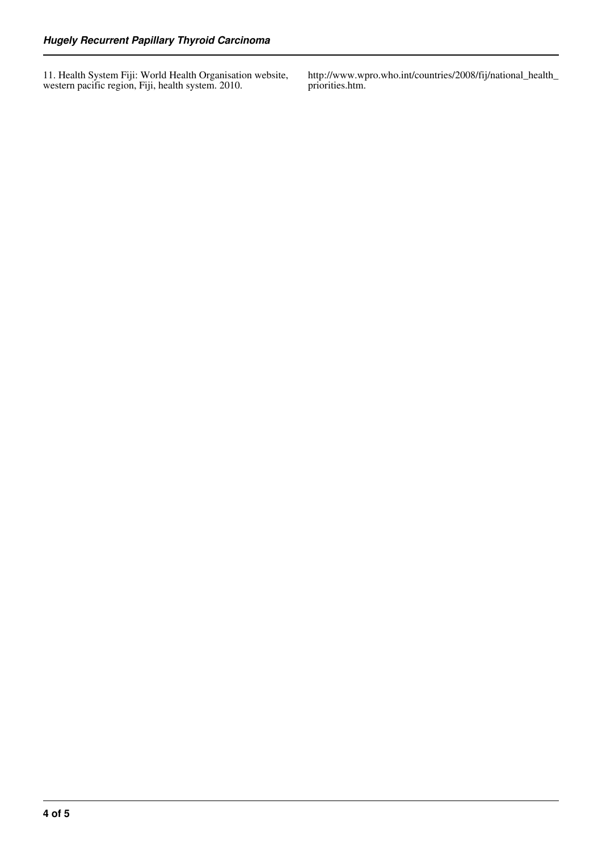11. Health System Fiji: World Health Organisation website, western pacific region, Fiji, health system. 2010.

http://www.wpro.who.int/countries/2008/fij/national\_health\_ priorities.htm.